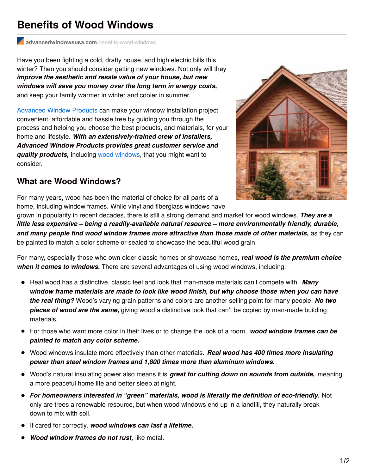## **Benefits of Wood Windows**

**[advancedwindowsusa.com](http://advancedwindowsusa.com/benefits-wood-windows)**/benefits-wood-windows

Have you been fighting a cold, drafty house, and high electric bills this winter? Then you should consider getting new windows. Not only will they *improve the aesthetic and resale value of your house, but new windows will save you money over the long term in energy costs,* and keep your family warmer in winter and cooler in summer.

[Advanced](http://advancedwindowsusa.com/) Window Products can make your window installation project convenient, affordable and hassle free by guiding you through the process and helping you choose the best products, and materials, for your home and lifestyle. *With an extensively-trained crew of installers, Advanced Window Products provides great customer service and quality products,* including wood [windows](http://advancedwindowsusa.com/wood-windows), that you might want to consider.

## **What are Wood Windows?**

For many years, wood has been the material of choice for all parts of a home, including window frames. While vinyl and fiberglass windows have

grown in popularity in recent decades, there is still a strong demand and market for wood windows. *They are a little less expensive – being a readily-available natural resource – more environmentally friendly, durable, and many people find wood window frames more attractive than those made of other materials,* as they can be painted to match a color scheme or sealed to showcase the beautiful wood grain.

For many, especially those who own older classic homes or showcase homes, *real wood is the premium choice when it comes to windows.* There are several advantages of using wood windows, including:

- Real wood has a distinctive, classic feel and look that man-made materials can't compete with. **Many** *window frame materials are made to look like wood finish, but why choose those when you can have the real thing?* Wood's varying grain patterns and colors are another selling point for many people. *No two pieces of wood are the same,* giving wood a distinctive look that can't be copied by man-made building materials.
- For those who want more color in their lives or to change the look of a room, *wood window frames can be painted to match any color scheme.*
- Wood windows insulate more effectively than other materials. *Real wood has 400 times more insulating power than steel window frames and 1,800 times more than aluminum windows.*
- Wood's natural insulating power also means it is *great for cutting down on sounds from outside,* meaning a more peaceful home life and better sleep at night.
- *For homeowners interested in "green" materials, wood is literally the definition of eco-friendly.* Not only are trees a renewable resource, but when wood windows end up in a landfill, they naturally break down to mix with soil.
- If cared for correctly, *wood windows can last a lifetime.*
- *Wood window frames do not rust,* like metal.